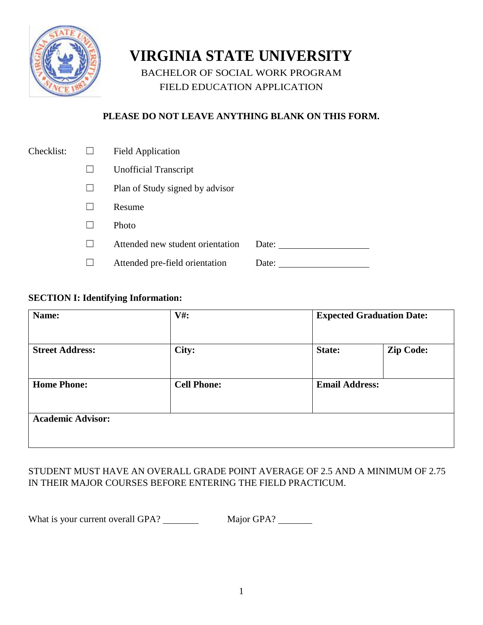

# **VIRGINIA STATE UNIVERSITY**

BACHELOR OF SOCIAL WORK PROGRAM FIELD EDUCATION APPLICATION

# **PLEASE DO NOT LEAVE ANYTHING BLANK ON THIS FORM.**

| Checklist: | <b>Field Application</b>         |       |
|------------|----------------------------------|-------|
|            | <b>Unofficial Transcript</b>     |       |
|            | Plan of Study signed by advisor  |       |
|            | Resume                           |       |
|            | Photo                            |       |
|            | Attended new student orientation | Date: |
|            | Attended pre-field orientation   | Date: |

#### **SECTION I: Identifying Information:**

| Name:                    | $V#$ :             | <b>Expected Graduation Date:</b> |                  |  |  |
|--------------------------|--------------------|----------------------------------|------------------|--|--|
|                          |                    |                                  |                  |  |  |
| <b>Street Address:</b>   | City:              | State:                           | <b>Zip Code:</b> |  |  |
|                          |                    |                                  |                  |  |  |
| <b>Home Phone:</b>       | <b>Cell Phone:</b> | <b>Email Address:</b>            |                  |  |  |
|                          |                    |                                  |                  |  |  |
| <b>Academic Advisor:</b> |                    |                                  |                  |  |  |
|                          |                    |                                  |                  |  |  |

### STUDENT MUST HAVE AN OVERALL GRADE POINT AVERAGE OF 2.5 AND A MINIMUM OF 2.75 IN THEIR MAJOR COURSES BEFORE ENTERING THE FIELD PRACTICUM.

What is your current overall GPA? Major GPA?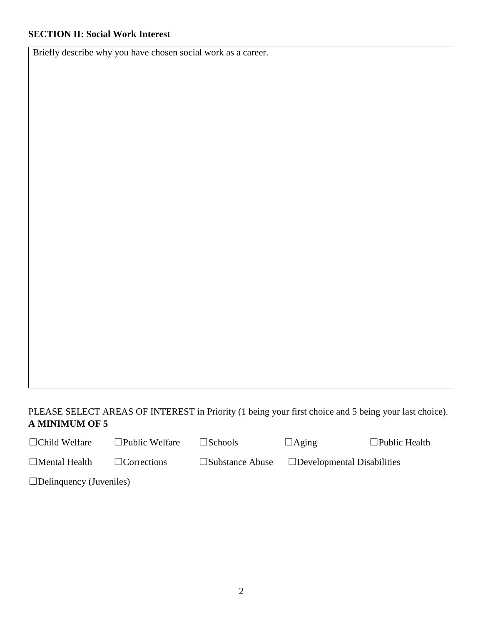Briefly describe why you have chosen social work as a career.

### PLEASE SELECT AREAS OF INTEREST in Priority (1 being your first choice and 5 being your last choice). **A MINIMUM OF 5**

☐Child Welfare ☐Public Welfare ☐Schools ☐Aging ☐Public Health

| $\Box$ Mental Health |  |
|----------------------|--|

Corrections □Substance Abuse □Developmental Disabilities

 $\square$ Delinquency (Juveniles)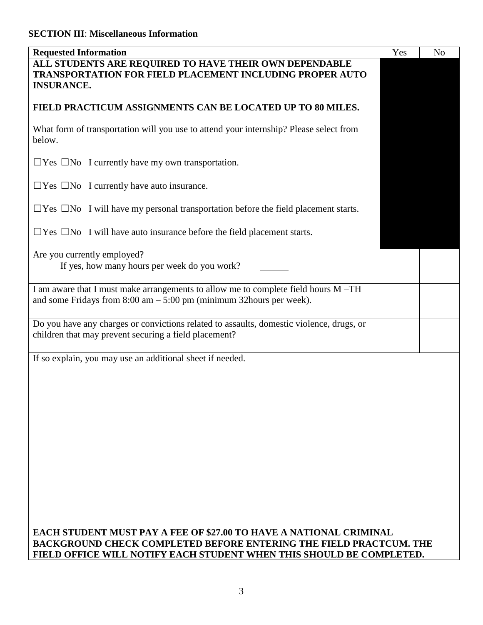| <b>Requested Information</b>                                                                                                                                                                                            | Yes | N <sub>o</sub> |  |
|-------------------------------------------------------------------------------------------------------------------------------------------------------------------------------------------------------------------------|-----|----------------|--|
| ALL STUDENTS ARE REQUIRED TO HAVE THEIR OWN DEPENDABLE<br><b>TRANSPORTATION FOR FIELD PLACEMENT INCLUDING PROPER AUTO</b><br><b>INSURANCE.</b>                                                                          |     |                |  |
| FIELD PRACTICUM ASSIGNMENTS CAN BE LOCATED UP TO 80 MILES.                                                                                                                                                              |     |                |  |
| What form of transportation will you use to attend your internship? Please select from<br>below.                                                                                                                        |     |                |  |
| $\Box$ Yes $\Box$ No I currently have my own transportation.                                                                                                                                                            |     |                |  |
| $\Box$ Yes $\Box$ No I currently have auto insurance.                                                                                                                                                                   |     |                |  |
| $\Box$ Yes $\Box$ No I will have my personal transportation before the field placement starts.                                                                                                                          |     |                |  |
| $\Box$ Yes $\Box$ No I will have auto insurance before the field placement starts.                                                                                                                                      |     |                |  |
| Are you currently employed?<br>If yes, how many hours per week do you work?                                                                                                                                             |     |                |  |
| I am aware that I must make arrangements to allow me to complete field hours M-TH<br>and some Fridays from $8:00 \text{ am} - 5:00 \text{ pm}$ (minimum 32hours per week).                                              |     |                |  |
| Do you have any charges or convictions related to assaults, domestic violence, drugs, or<br>children that may prevent securing a field placement?                                                                       |     |                |  |
| If so explain, you may use an additional sheet if needed.                                                                                                                                                               |     |                |  |
| EACH STUDENT MUST PAY A FEE OF \$27.00 TO HAVE A NATIONAL CRIMINAL<br><b>BACKGROUND CHECK COMPLETED BEFORE ENTERING THE FIELD PRACTCUM. THE</b><br>FIELD OFFICE WILL NOTIFY EACH STUDENT WHEN THIS SHOULD BE COMPLETED. |     |                |  |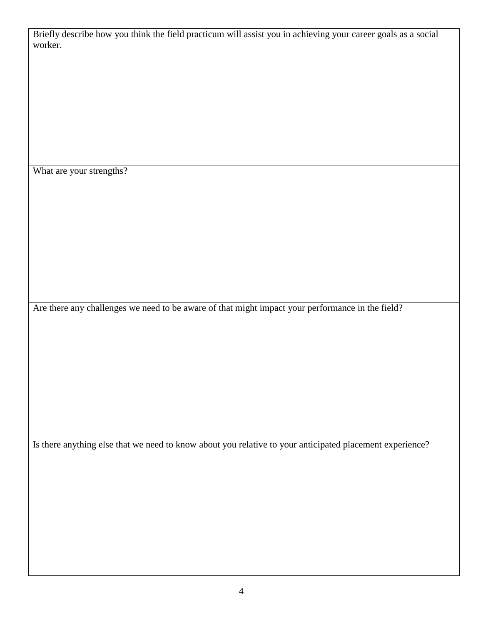Briefly describe how you think the field practicum will assist you in achieving your career goals as a social worker.

What are your strengths?

Are there any challenges we need to be aware of that might impact your performance in the field?

Is there anything else that we need to know about you relative to your anticipated placement experience?